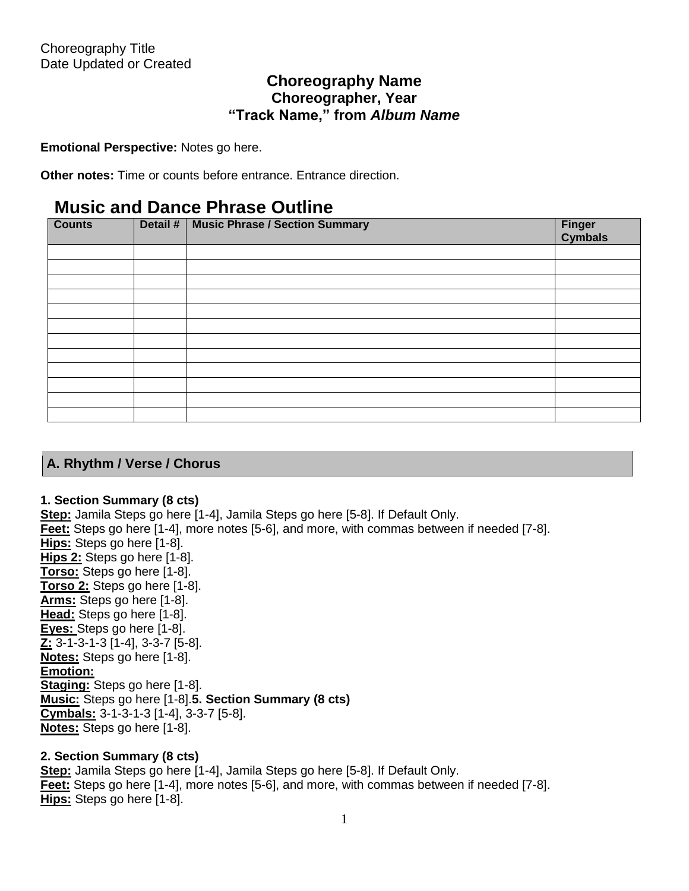# **Choreography Name Choreographer, Year "Track Name," from** *Album Name*

**Emotional Perspective:** Notes go here.

**Other notes:** Time or counts before entrance. Entrance direction.

# **Music and Dance Phrase Outline**

| <b>Counts</b> | Detail # | <b>Music Phrase / Section Summary</b> | Finger<br>Cymbals |
|---------------|----------|---------------------------------------|-------------------|
|               |          |                                       |                   |
|               |          |                                       |                   |
|               |          |                                       |                   |
|               |          |                                       |                   |
|               |          |                                       |                   |
|               |          |                                       |                   |
|               |          |                                       |                   |
|               |          |                                       |                   |
|               |          |                                       |                   |
|               |          |                                       |                   |
|               |          |                                       |                   |
|               |          |                                       |                   |

# **A. Rhythm / Verse / Chorus**

## **1. Section Summary (8 cts)**

**Step:** Jamila Steps go here [1-4], Jamila Steps go here [5-8]. If Default Only. **Feet:** Steps go here [1-4], more notes [5-6], and more, with commas between if needed [7-8]. **Hips:** Steps go here [1-8]. **Hips 2:** Steps go here [1-8]. **Torso:** Steps go here [1-8]. **Torso 2:** Steps go here [1-8]. **Arms:** Steps go here [1-8]. **Head:** Steps go here [1-8]. **Eyes:** Steps go here [1-8]. **Z:** 3-1-3-1-3 [1-4], 3-3-7 [5-8]. **Notes:** Steps go here [1-8]. **Emotion: Staging:** Steps go here [1-8]. **Music:** Steps go here [1-8].**5. Section Summary (8 cts) Cymbals:** 3-1-3-1-3 [1-4], 3-3-7 [5-8]. **Notes:** Steps go here [1-8].

## **2. Section Summary (8 cts)**

**Step:** Jamila Steps go here [1-4], Jamila Steps go here [5-8]. If Default Only. **Feet:** Steps go here [1-4], more notes [5-6], and more, with commas between if needed [7-8]. **Hips:** Steps go here [1-8].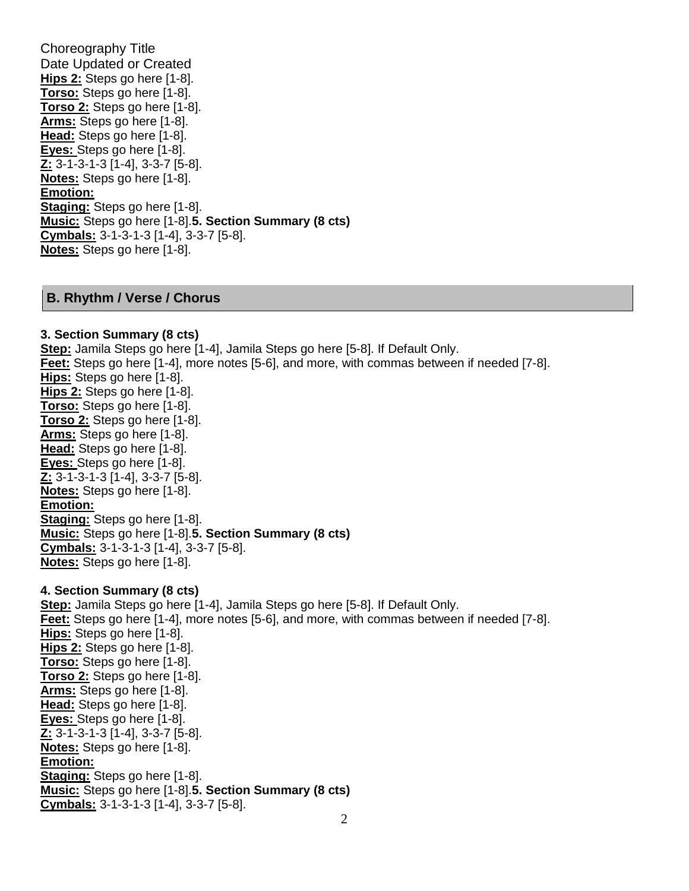Choreography Title Date Updated or Created **Hips 2:** Steps go here [1-8]. **Torso:** Steps go here [1-8]. **Torso 2:** Steps go here [1-8]. **Arms:** Steps go here [1-8]. **Head:** Steps go here [1-8]. **Eyes:** Steps go here [1-8]. **Z:** 3-1-3-1-3 [1-4], 3-3-7 [5-8]. **Notes:** Steps go here [1-8]. **Emotion: Staging:** Steps go here [1-8]. **Music:** Steps go here [1-8].**5. Section Summary (8 cts) Cymbals:** 3-1-3-1-3 [1-4], 3-3-7 [5-8]. **Notes:** Steps go here [1-8].

### **B. Rhythm / Verse / Chorus**

#### **3. Section Summary (8 cts)**

**Step:** Jamila Steps go here [1-4], Jamila Steps go here [5-8]. If Default Only. **Feet:** Steps go here [1-4], more notes [5-6], and more, with commas between if needed [7-8]. **Hips:** Steps go here [1-8]. **Hips 2:** Steps go here [1-8]. **Torso:** Steps go here [1-8]. **Torso 2:** Steps go here [1-8]. **Arms:** Steps go here [1-8]. **Head:** Steps go here [1-8]. **Eyes:** Steps go here [1-8]. **Z:** 3-1-3-1-3 [1-4], 3-3-7 [5-8]. **Notes:** Steps go here [1-8]. **Emotion: Staging:** Steps go here [1-8]. **Music:** Steps go here [1-8].**5. Section Summary (8 cts) Cymbals:** 3-1-3-1-3 [1-4], 3-3-7 [5-8]. **Notes:** Steps go here [1-8].

### **4. Section Summary (8 cts)**

**Step:** Jamila Steps go here [1-4], Jamila Steps go here [5-8]. If Default Only. **Feet:** Steps go here [1-4], more notes [5-6], and more, with commas between if needed [7-8]. **Hips:** Steps go here [1-8]. **Hips 2:** Steps go here [1-8]. **Torso:** Steps go here [1-8]. **Torso 2:** Steps go here [1-8]. **Arms:** Steps go here [1-8]. **Head:** Steps go here [1-8]. **Eyes:** Steps go here [1-8]. **Z:** 3-1-3-1-3 [1-4], 3-3-7 [5-8]. **Notes:** Steps go here [1-8]. **Emotion: Staging:** Steps go here [1-8]. **Music:** Steps go here [1-8].**5. Section Summary (8 cts) Cymbals:** 3-1-3-1-3 [1-4], 3-3-7 [5-8].